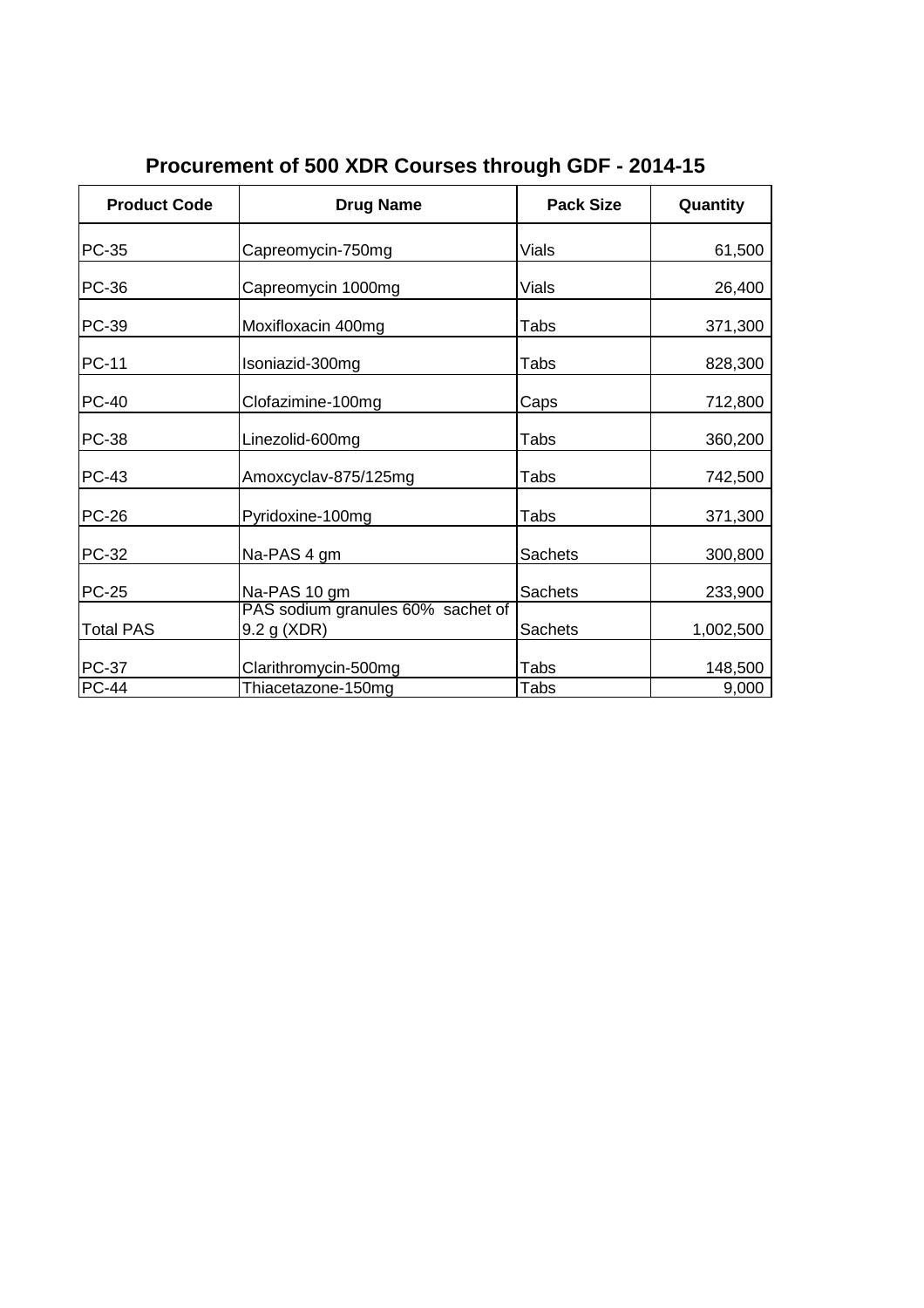| <b>Product Code</b> | <b>Drug Name</b>                                 | <b>Pack Size</b> | Quantity  |
|---------------------|--------------------------------------------------|------------------|-----------|
| PC-35               | Capreomycin-750mg                                | <b>Vials</b>     | 61,500    |
| <b>PC-36</b>        | Capreomycin 1000mg                               | <b>Vials</b>     | 26,400    |
| <b>PC-39</b>        | Moxifloxacin 400mg                               | Tabs             | 371,300   |
| <b>PC-11</b>        | Isoniazid-300mg                                  | Tabs             | 828,300   |
| <b>PC-40</b>        | Clofazimine-100mg                                | Caps             | 712,800   |
| <b>PC-38</b>        | Linezolid-600mg                                  | Tabs             | 360,200   |
| <b>PC-43</b>        | Amoxcyclav-875/125mg                             | Tabs             | 742,500   |
| <b>PC-26</b>        | Pyridoxine-100mg                                 | Tabs             | 371,300   |
| PC-32               | Na-PAS 4 gm                                      | <b>Sachets</b>   | 300,800   |
| <b>PC-25</b>        | Na-PAS 10 gm                                     | <b>Sachets</b>   | 233,900   |
| <b>Total PAS</b>    | PAS sodium granules 60% sachet of<br>9.2 g (XDR) | Sachets          | 1,002,500 |
| <b>PC-37</b>        | Clarithromycin-500mg                             | Tabs             | 148,500   |
| <b>PC-44</b>        | Thiacetazone-150mg                               | Tabs             | 9,000     |

**Procurement of 500 XDR Courses through GDF - 2014-15**